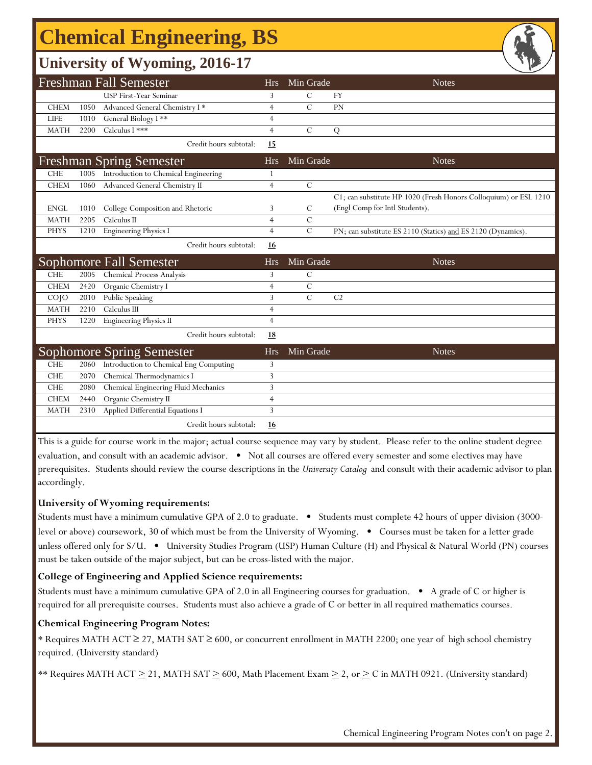# **Chemical Engineering, BS**

### **University of Wyoming, 2016-17**

|             |      | <b>Freshman Fall Semester</b>                                              | <b>Hrs</b>     | Min Grade     | <b>Notes</b>                                                     |
|-------------|------|----------------------------------------------------------------------------|----------------|---------------|------------------------------------------------------------------|
|             |      | <b>USP First-Year Seminar</b>                                              | 3              | $\mathcal{C}$ | FY                                                               |
| <b>CHEM</b> | 1050 | Advanced General Chemistry I*                                              | $\overline{4}$ | $\mathcal{C}$ | PN                                                               |
| <b>LIFE</b> | 1010 | General Biology I**                                                        | $\overline{4}$ |               |                                                                  |
| <b>MATH</b> | 2200 | Calculus I ***                                                             | $\overline{4}$ | $\mathcal{C}$ | Q                                                                |
|             |      | Credit hours subtotal:                                                     | 15             |               |                                                                  |
|             |      | <b>Freshman Spring Semester</b>                                            | <b>Hrs</b>     | Min Grade     | <b>Notes</b>                                                     |
| <b>CHE</b>  | 1005 | Introduction to Chemical Engineering                                       |                |               |                                                                  |
| <b>CHEM</b> | 1060 | Advanced General Chemistry II                                              | $\overline{4}$ | $\mathcal{C}$ |                                                                  |
|             |      |                                                                            |                |               | C1; can substitute HP 1020 (Fresh Honors Colloquium) or ESL 1210 |
| <b>ENGL</b> | 1010 | College Composition and Rhetoric                                           | 3              | C             | (Engl Comp for Intl Students).                                   |
| <b>MATH</b> | 2205 | Calculus II                                                                | $\overline{4}$ | $\mathcal{C}$ |                                                                  |
| <b>PHYS</b> | 1210 | <b>Engineering Physics I</b>                                               | $\overline{4}$ | $\mathcal{C}$ | PN; can substitute ES 2110 (Statics) and ES 2120 (Dynamics).     |
|             |      | Credit hours subtotal:                                                     | 16             |               |                                                                  |
|             |      |                                                                            |                |               |                                                                  |
|             |      | Sophomore Fall Semester                                                    | <b>Hrs</b>     | Min Grade     | <b>Notes</b>                                                     |
| <b>CHE</b>  | 2005 | <b>Chemical Process Analysis</b>                                           | 3              | $\mathcal{C}$ |                                                                  |
| <b>CHEM</b> | 2420 | Organic Chemistry I                                                        | $\overline{4}$ | $\mathcal{C}$ |                                                                  |
| COJO        | 2010 | Public Speaking                                                            | 3              | $\mathcal{C}$ | C <sub>2</sub>                                                   |
| <b>MATH</b> | 2210 | Calculus III                                                               | $\overline{4}$ |               |                                                                  |
| <b>PHYS</b> | 1220 | <b>Engineering Physics II</b>                                              | $\overline{4}$ |               |                                                                  |
|             |      | Credit hours subtotal:                                                     | <u>18</u>      |               |                                                                  |
|             |      |                                                                            | <b>Hrs</b>     | Min Grade     | <b>Notes</b>                                                     |
| <b>CHE</b>  | 2060 | <b>Sophomore Spring Semester</b><br>Introduction to Chemical Eng Computing | 3              |               |                                                                  |
| <b>CHE</b>  | 2070 | Chemical Thermodynamics I                                                  | 3              |               |                                                                  |
| <b>CHE</b>  | 2080 | Chemical Engineering Fluid Mechanics                                       | 3              |               |                                                                  |
| <b>CHEM</b> | 2440 | Organic Chemistry II                                                       | $\overline{4}$ |               |                                                                  |
| <b>MATH</b> | 2310 | Applied Differential Equations I                                           | 3              |               |                                                                  |

This is a guide for course work in the major; actual course sequence may vary by student. Please refer to the online student degree evaluation, and consult with an academic advisor. • Not all courses are offered every semester and some electives may have prerequisites. Students should review the course descriptions in the *University Catalog* and consult with their academic advisor to plan accordingly.

#### **University of Wyoming requirements:**

Students must have a minimum cumulative GPA of 2.0 to graduate. • Students must complete 42 hours of upper division (3000 level or above) coursework, 30 of which must be from the University of Wyoming. • Courses must be taken for a letter grade unless offered only for S/U. • University Studies Program (USP) Human Culture (H) and Physical & Natural World (PN) courses must be taken outside of the major subject, but can be cross-listed with the major.

#### **College of Engineering and Applied Science requirements:**

Students must have a minimum cumulative GPA of 2.0 in all Engineering courses for graduation. • A grade of C or higher is required for all prerequisite courses. Students must also achieve a grade of C or better in all required mathematics courses.

#### **Chemical Engineering Program Notes:**

f

\* Requires MATH ACT ≥ 27, MATH SAT ≥ 600, or concurrent enrollment in MATH 2200; one year of high school chemistry required. (University standard)

\*\* Requires MATH ACT  $\geq$  21, MATH SAT  $\geq$  600, Math Placement Exam  $\geq$  2, or  $\geq$  C in MATH 0921. (University standard)